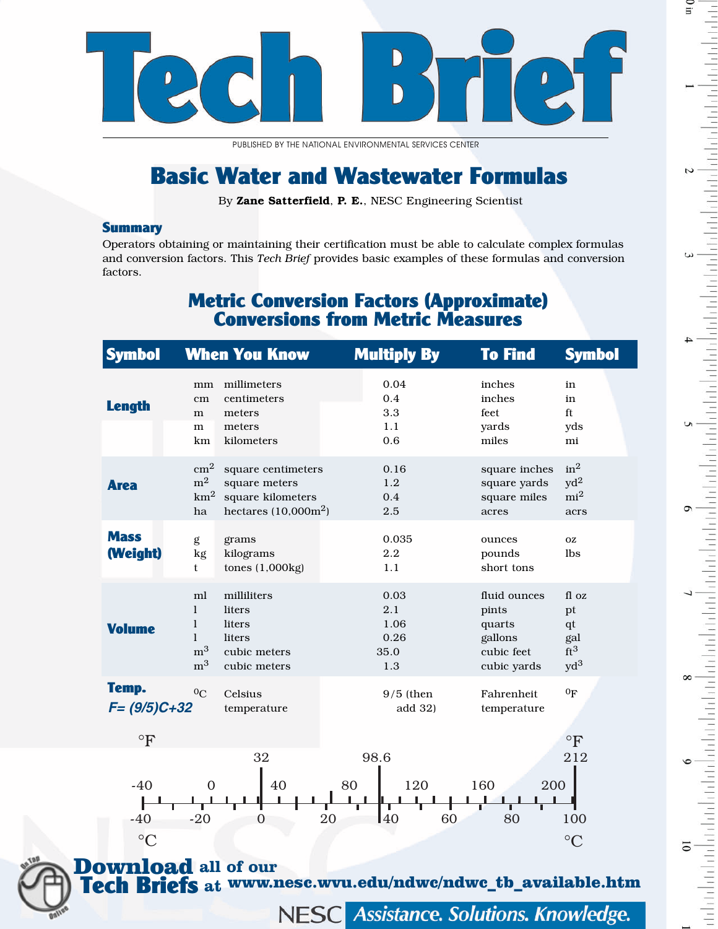

PUBLISHED BY THE NATIONAL ENVIRONMENTAL SERVICES CENTER

# Basic Water and Wastewater Formulas

By Zane Satterfield, P. E., NESC Engineering Scientist

### **Summary**

Operators obtaining or maintaining their certification must be able to calculate complex formulas and conversion factors. This *Tech Brief* provides basic examples of these formulas and conversion factors.

### Metric Conversion Factors (Approximate) Conversions from Metric Measures

| <b>Symbol</b>               |                                                                        | <b>When You Know</b>                                                               | <b>Multiply By</b>                         | <b>To Find</b>                                                          | <b>Symbol</b>                                            |
|-----------------------------|------------------------------------------------------------------------|------------------------------------------------------------------------------------|--------------------------------------------|-------------------------------------------------------------------------|----------------------------------------------------------|
| <b>Length</b>               | mm<br>cm<br>m<br>m<br>km                                               | millimeters<br>centimeters<br>meters<br>meters<br>kilometers                       | 0.04<br>0.4<br>3.3<br>1.1<br>0.6           | inches<br>inches<br>feet<br>yards<br>miles                              | in<br>in<br>ft<br>yds<br>mi                              |
| <b>Area</b>                 | $\rm cm^2$<br>$\mathrm{m}^2$<br>$\rm km^2$<br>ha                       | square centimeters<br>square meters<br>square kilometers<br>hectares $(10,000m^2)$ | 0.16<br>1.2<br>0.4<br>2.5                  | square inches<br>square yards<br>square miles<br>acres                  | in <sup>2</sup><br>$yd^2$<br>mi <sup>2</sup><br>acrs     |
| <b>Mass</b><br>(Weight)     | g<br>kg<br>t                                                           | grams<br>kilograms<br>tones $(1,000kg)$                                            | 0.035<br>2.2<br>1.1                        | ounces<br>pounds<br>short tons                                          | <b>OZ</b><br>lbs                                         |
| <b>Volume</b>               | ml<br>1<br>$\mathbf{l}$<br>$\mathbf{1}$<br>m <sup>3</sup><br>$\rm m^3$ | milliliters<br>liters<br>liters<br>liters<br>cubic meters<br>cubic meters          | 0.03<br>2.1<br>1.06<br>0.26<br>35.0<br>1.3 | fluid ounces<br>pints<br>quarts<br>gallons<br>cubic feet<br>cubic yards | fl oz<br>pt<br>$q$ t<br>gal<br>ft <sup>3</sup><br>$yd^3$ |
| Temp.<br>$F = (9/5)C + 32$  | $^{0}C$                                                                | Celsius<br>temperature                                                             | $9/5$ (then<br>add 32)                     | Fahrenheit<br>temperature                                               | 0 <sub>F</sub>                                           |
| $\circ$ F                   |                                                                        | 32                                                                                 | 98.6                                       |                                                                         | $\circ$ F<br>212                                         |
| $-40$<br>$-40$<br>$\circ$ C | $\overline{0}$<br>$-20$                                                | 40<br>$\Omega$                                                                     | 80<br>120<br>40<br>20<br>60                | 160<br>200<br>80                                                        | 100<br>$\rm ^{\circ}C$                                   |
| <b>Download</b> all of our  |                                                                        |                                                                                    |                                            |                                                                         |                                                          |

Tech Briefs **at** www.nesc.wvu.edu/ndwc/ndwc\_tb\_available.htm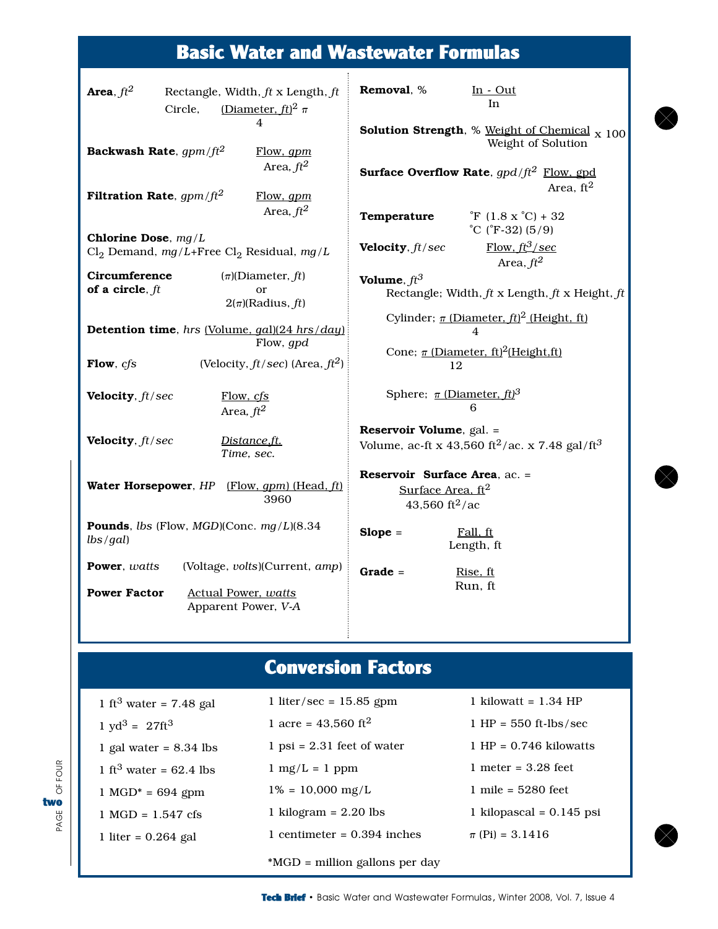## Basic Water and Wastewater Formulas

| Area, $ft^2$                                                                  | Circle,                                    | Rectangle, Width, $ft$ x Length, $ft$<br>(Diameter, ft) <sup>2</sup> $\pi$                                               | Removal, %                                                                                | $In - Out$<br>In<br><b>Solution Strength</b> , % Weight of Chemical $_{\text{X}}$ 100 |  |
|-------------------------------------------------------------------------------|--------------------------------------------|--------------------------------------------------------------------------------------------------------------------------|-------------------------------------------------------------------------------------------|---------------------------------------------------------------------------------------|--|
| Backwash Rate, $gpm/ft^2$<br>Flow, gpm<br>Area, $ft^2$                        |                                            |                                                                                                                          | Weight of Solution<br><b>Surface Overflow Rate</b> , $qpd/ft^2$ Flow, gpd                 |                                                                                       |  |
| <b>Filtration Rate</b> , $gpm/ft^2$                                           |                                            | Flow, gpm<br>Area, $ft^2$                                                                                                | Temperature                                                                               | Area, $ft^2$<br>$\mathrm{F}(1.8 \mathrm{X} \mathrm{C}) + 32$<br>°C (°F-32) $(5/9)$    |  |
| Chlorine Dose, $mg/L$<br>$Cl_2$ Demand, mg/L+Free $Cl_2$ Residual, mg/L       |                                            | Velocity, ft/sec                                                                                                         | Flow, $ft^3/sec$<br>Area, $ft^2$                                                          |                                                                                       |  |
| Circumference<br>of a circle, $ft$                                            |                                            | $(\pi)$ (Diameter, ft)<br><sub>or</sub><br>$2(\pi)$ (Radius, ft)                                                         | Volume, $ft^3$                                                                            | Rectangle; Width, $ft$ x Length, $ft$ x Height, $ft$                                  |  |
| Detention time, hrs (Volume, gal)(24 hrs/day)<br>Flow, gpd                    |                                            | Cylinder; $\pi$ (Diameter, $ft$ ) <sup>2</sup> (Height, ft)<br>4<br>Cone; $\pi$ (Diameter, ft) <sup>2</sup> (Height, ft) |                                                                                           |                                                                                       |  |
| Flow, cfs                                                                     |                                            | (Velocity, $ft/sec$ ) (Area, $ft2$ )                                                                                     | 12                                                                                        |                                                                                       |  |
| Velocity, ft/sec                                                              | Flow, cfs<br>Area, $ft^2$                  |                                                                                                                          | Sphere; $\pi$ (Diameter, ft) <sup>3</sup>                                                 | 6                                                                                     |  |
| Velocity, ft/sec                                                              |                                            | Distance,ft.<br>Time, sec.                                                                                               | <b>Reservoir Volume</b> , gal. =                                                          | Volume, ac-ft x 43,560 ft <sup>2</sup> /ac. x 7.48 gal/ft <sup>3</sup>                |  |
| Water Horsepower, HP                                                          |                                            | $[Flow, gpm)$ (Head, $ft$ )<br>3960                                                                                      | <b>Reservoir Surface Area.</b> ac. =<br>Surface Area, $ft2$<br>43,560 ft <sup>2</sup> /ac |                                                                                       |  |
| <b>Pounds</b> , <i>lbs</i> (Flow, <i>MGD</i> )(Conc. $mg/L$ )(8.34<br>lbs/gal |                                            |                                                                                                                          | $Slope =$                                                                                 | Fall, ft<br>Length, ft                                                                |  |
| <b>Power</b> , watts<br><b>Power Factor</b>                                   | Actual Power, watts<br>Apparent Power, V-A | (Voltage, volts)(Current, amp)                                                                                           | $Grade =$                                                                                 | Rise, ft<br>Run, ft                                                                   |  |
|                                                                               |                                            |                                                                                                                          |                                                                                           |                                                                                       |  |

## Conversion Factors

| 1 ft <sup>3</sup> water = 7.48 gal   | 1 liter/sec = $15.85$ gpm         | 1 kilowatt = $1.34$ HP     |
|--------------------------------------|-----------------------------------|----------------------------|
| $1 \text{ yd}^3 = 27 \text{ft}^3$    | 1 acre = $43,560$ ft <sup>2</sup> | $1$ HP = 550 ft-lbs/sec    |
| 1 gal water = $8.34$ lbs             | $1$ psi = 2.31 feet of water      | $1$ HP = 0.746 kilowatts   |
| 1 ft <sup>3</sup> water = $62.4$ lbs | $1 \text{ mg/L} = 1 \text{ ppm}$  | 1 meter = $3.28$ feet      |
| $1 \text{ MGD}^* = 694 \text{ gpm}$  | $1\% = 10,000 \text{ mg/L}$       | $1$ mile = 5280 feet       |
| $1 \text{ MGD} = 1.547 \text{ cfs}$  | 1 kilogram = $2.20$ lbs           | 1 kilopascal = $0.145$ psi |
| 1 liter = $0.264$ gal                | 1 centimeter = $0.394$ inches     | $\pi$ (Pi) = 3.1416        |
|                                      | *MGD = million gallons per day    |                            |





 $\otimes$ 

 $\infty$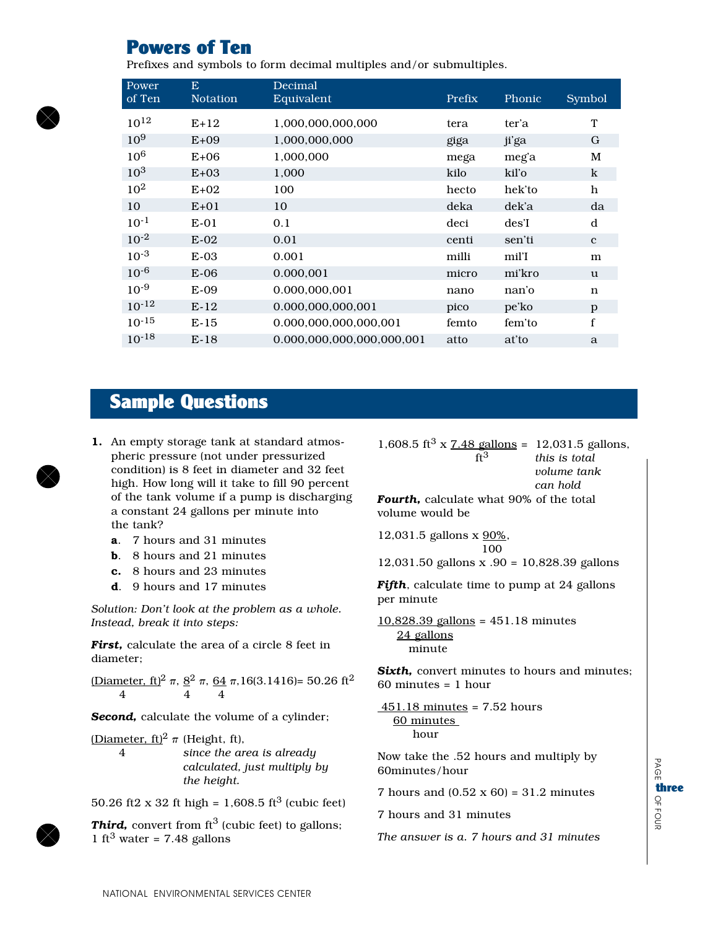## **Powers of Ten**

Prefixes and symbols to form decimal multiples and/or submultiples.

| Power<br>of Ten | E<br><b>Notation</b> | Decimal<br>Equivalent     | Prefix | Phonic | <b>Symbol</b> |
|-----------------|----------------------|---------------------------|--------|--------|---------------|
| $10^{12}$       | $E+12$               | 1,000,000,000,000         | tera   | ter'a  | T             |
| $10^{9}$        | $E+09$               | 1,000,000,000             | giga   | ji'ga  | G             |
| 10 <sup>6</sup> | $E+06$               | 1,000,000                 | mega   | meg'a  | M             |
| 10 <sup>3</sup> | $E+03$               | 1,000                     | kilo   | kil'o  | $\bf k$       |
| $10^{2}$        | $E+02$               | 100                       | hecto  | hek'to | h             |
| 10              | $E+01$               | 10                        | deka   | dek'a  | da            |
| $10^{-1}$       | $E-01$               | 0.1                       | deci   | des'I  | d             |
| $10^{-2}$       | $E-02$               | 0.01                      | centi  | sen'ti | $\mathbf{c}$  |
| $10^{-3}$       | $E-03$               | 0.001                     | milli  | mil'I  | m             |
| $10^{-6}$       | $E-06$               | 0.000,001                 | micro  | mi'kro | u             |
| $10^{-9}$       | $E-09$               | 0.000,000,001             | nano   | nan'o  | n             |
| $10^{-12}$      | $E-12$               | 0.000.000.000.001         | pico   | pe'ko  | p             |
| $10^{-15}$      | $E-15$               | 0.000,000,000,000,001     | femto  | fem'to | f             |
| $10^{-18}$      | $E-18$               | 0.000,000,000,000,000,001 | atto   | at'to  | a             |

### **Sample Questions**

- 1. An empty storage tank at standard atmospheric pressure (not under pressurized condition) is 8 feet in diameter and 32 feet high. How long will it take to fill 90 percent of the tank volume if a pump is discharging a constant 24 gallons per minute into the tank?
	- **a**. 7 hours and 31 minutes
	- **b.** 8 hours and 21 minutes
	- c. 8 hours and 23 minutes
	- **d**. 9 hours and 17 minutes

Solution: Don't look at the problem as a whole. Instead, break it into steps:

First. calculate the area of a circle 8 feet in diameter;

Diameter, ft)<sup>2</sup>  $\pi$ ,  $8^2$   $\pi$ ,  $64$   $\pi$ , 16(3.1416)= 50.26 ft<sup>2</sup>  $\overline{4}$  $\overline{4}$  $\overline{4}$ 

**Second,** calculate the volume of a cylinder;

(Diameter, ft)<sup>2</sup>  $\pi$  (Height, ft),  $\overline{4}$ since the area is already calculated, just multiply by the height.

50.26 ft2 x 32 ft high = 1,608.5 ft<sup>3</sup> (cubic feet)

**Third,** convert from  $ft^3$  (cubic feet) to gallons; 1 ft<sup>3</sup> water = 7.48 gallons

1,608.5 ft<sup>3</sup> x  $\frac{7.48 \text{ gallons}}{2.48 \text{ gallons}}}$  = 12,031.5 gallons,  $\mathrm{ft}^3$ this is total volume tank can hold Fourth. calculate what 90% of the total volume would be

12,031.5 gallons x 90%, 100

12,031.50 gallons x .90 = 10,828.39 gallons

Fifth, calculate time to pump at 24 gallons per minute

 $10,828.39$  gallons = 451.18 minutes 24 gallons minute

Sixth, convert minutes to hours and minutes;  $60$  minutes = 1 hour

 $451.18$  minutes = 7.52 hours 60 minutes hour

Now take the .52 hours and multiply by 60minutes/hour

7 hours and  $(0.52 \times 60) = 31.2$  minutes

7 hours and 31 minutes

The answer is a. 7 hours and 31 minutes